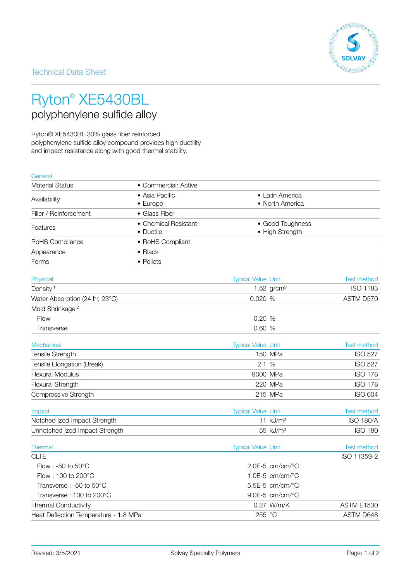

## Ryton® XE5430BL polyphenylene sulfide alloy

Ryton® XE5430BL 30% glass fiber reinforced polyphenylene sulfide alloy compound provides high ductility and impact resistance along with good thermal stability.

| General                               |                                    |                                     |                                    |                    |
|---------------------------------------|------------------------------------|-------------------------------------|------------------------------------|--------------------|
| <b>Material Status</b>                | • Commercial: Active               |                                     |                                    |                    |
| Availability                          | • Asia Pacific<br>$\bullet$ Europe |                                     | • Latin America<br>• North America |                    |
| Filler / Reinforcement                | • Glass Fiber                      |                                     |                                    |                    |
| Features                              | • Chemical Resistant<br>• Ductile  | • Good Toughness<br>• High Strength |                                    |                    |
| RoHS Compliance                       | • RoHS Compliant                   |                                     |                                    |                    |
| Appearance                            | $\bullet$ Black                    |                                     |                                    |                    |
| Forms                                 | • Pellets                          |                                     |                                    |                    |
| Physical                              |                                    | <b>Typical Value Unit</b>           |                                    | Test method        |
| Density <sup>1</sup>                  |                                    |                                     | 1.52 $g/cm^3$                      | <b>ISO 1183</b>    |
| Water Absorption (24 hr, 23°C)        |                                    | 0.020 %                             |                                    | ASTM D570          |
| Mold Shrinkage <sup>2</sup>           |                                    |                                     |                                    |                    |
| Flow                                  |                                    | 0.20%                               |                                    |                    |
| Transverse                            |                                    | 0.60 %                              |                                    |                    |
| Mechanical                            |                                    | <b>Typical Value Unit</b>           |                                    | <b>Test method</b> |
| Tensile Strength                      |                                    |                                     | 150 MPa                            | <b>ISO 527</b>     |
| Tensile Elongation (Break)            |                                    | 2.1%                                |                                    | <b>ISO 527</b>     |
| <b>Flexural Modulus</b>               |                                    | 9000 MPa                            |                                    | <b>ISO 178</b>     |
| <b>Flexural Strength</b>              |                                    |                                     | 220 MPa                            | <b>ISO 178</b>     |
| Compressive Strength                  |                                    |                                     | 215 MPa                            | <b>ISO 604</b>     |
| Impact                                |                                    | <b>Typical Value Unit</b>           |                                    | <b>Test method</b> |
| Notched Izod Impact Strength          |                                    |                                     | $11$ kJ/m <sup>2</sup>             | <b>ISO 180/A</b>   |
| Unnotched Izod Impact Strength        |                                    |                                     | 55 kJ/m <sup>2</sup>               | <b>ISO 180</b>     |
| <b>Thermal</b>                        |                                    | <b>Typical Value Unit</b>           |                                    | Test method        |
| <b>CLTE</b>                           |                                    |                                     |                                    | ISO 11359-2        |
| Flow : $-50$ to $50^{\circ}$ C        |                                    |                                     | $2.0E-5$ cm/cm/ $\degree$ C        |                    |
| Flow: 100 to 200°C                    |                                    |                                     | 1.0E-5 cm/cm/°C                    |                    |
| Transverse: -50 to 50°C               |                                    |                                     | 5.5E-5 cm/cm/°C                    |                    |
| Transverse: 100 to 200°C              |                                    |                                     | $9.0E-5$ cm/cm/ $^{\circ}$ C       |                    |
| Thermal Conductivity                  |                                    |                                     | $0.27$ W/m/K                       | <b>ASTM E1530</b>  |
| Heat Deflection Temperature - 1.8 MPa |                                    | 255 °C                              |                                    | ASTM D648          |
|                                       |                                    |                                     |                                    |                    |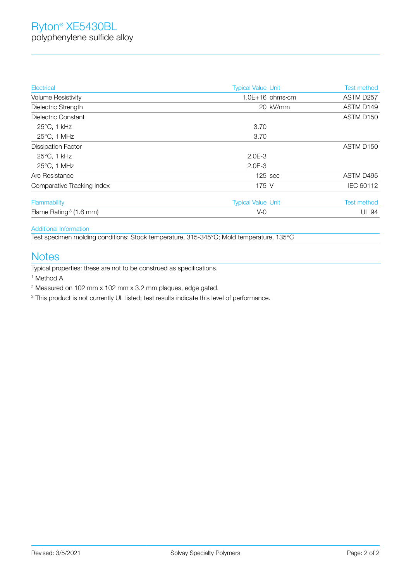| Electrical                 | <b>Typical Value Unit</b> | <b>Test method</b>    |
|----------------------------|---------------------------|-----------------------|
| <b>Volume Resistivity</b>  | $1.0E+16$ ohms $cm$       | ASTM D257             |
| Dielectric Strength        | 20 kV/mm                  | ASTM D149             |
| Dielectric Constant        |                           | ASTM D150             |
| $25^{\circ}$ C, 1 kHz      | 3.70                      |                       |
| $25^{\circ}$ C, 1 MHz      | 3.70                      |                       |
| <b>Dissipation Factor</b>  |                           | ASTM D <sub>150</sub> |
| 25°C, 1 kHz                | $2.0E-3$                  |                       |
| 25°C, 1 MHz                | $2.0E-3$                  |                       |
| Arc Resistance             | $125$ sec                 | ASTM D495             |
| Comparative Tracking Index | 175 V                     | IEC 60112             |
| Flammability               | <b>Typical Value Unit</b> | <b>Test method</b>    |
| Flame Rating $3(1.6$ mm)   | $V-0$                     | <b>UL 94</b>          |

## Additional Information

Test specimen molding conditions: Stock temperature, 315-345°C; Mold temperature, 135°C

## **Notes**

Typical properties: these are not to be construed as specifications.

1 Method A

<sup>2</sup> Measured on 102 mm x 102 mm x 3.2 mm plaques, edge gated.

<sup>3</sup> This product is not currently UL listed; test results indicate this level of performance.